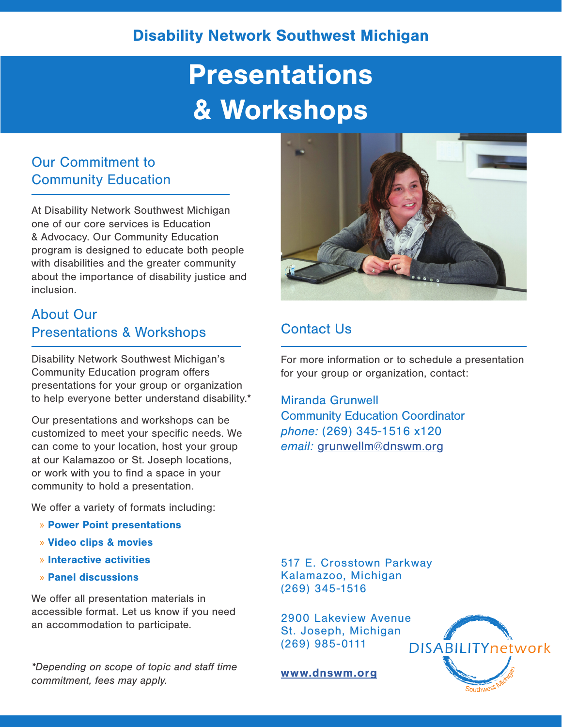# **Presentations** & Workshops

## Our Commitment to Community Education

At Disability Network Southwest Michigan one of our core services is Education & Advocacy. Our Community Education program is designed to educate both people with disabilities and the greater community about the importance of disability justice and inclusion.

# About Our Presentations & Workshops

Disability Network Southwest Michigan's Community Education program offers presentations for your group or organization to help everyone better understand disability.\*

Our presentations and workshops can be customized to meet your specific needs. We can come to your location, host your group at our Kalamazoo or St. Joseph locations, or work with you to find a space in your community to hold a presentation.

We offer a variety of formats including:

- » Power Point presentations
- » Video clips & movies
- » Interactive activities
- » Panel discussions

We offer all presentation materials in accessible format. Let us know if you need an accommodation to participate.

*\*Depending on scope of topic and staff time commitment, fees may apply.*



# Contact Us

For more information or to schedule a presentation for your group or organization, contact:

Miranda Grunwell Community Education Coordinator *phone:* (269) 345-1516 x120 *email:* grunwellm@dnswm.org

517 E. Crosstown Parkway Kalamazoo, Michigan (269) 345-1516

2900 Lakeview Avenue St. Joseph, Michigan (269) 985-0111

www.dnswm.org